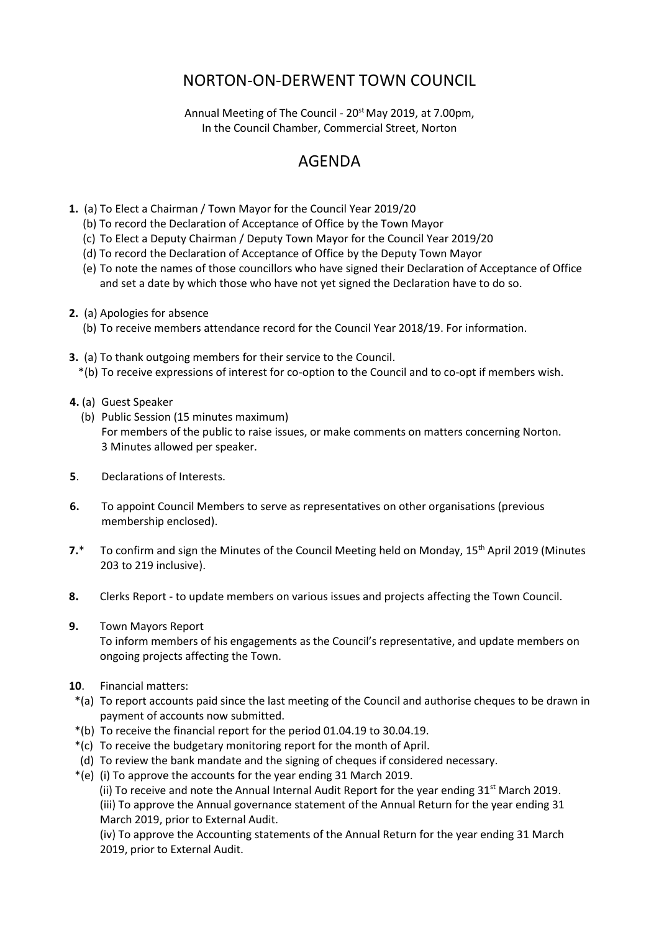## NORTON-ON-DERWENT TOWN COUNCIL

Annual Meeting of The Council - 20<sup>st</sup> May 2019, at 7.00pm, In the Council Chamber, Commercial Street, Norton

## AGENDA

- **1.** (a) To Elect a Chairman / Town Mayor for the Council Year 2019/20
	- (b) To record the Declaration of Acceptance of Office by the Town Mayor
	- (c) To Elect a Deputy Chairman / Deputy Town Mayor for the Council Year 2019/20
	- (d) To record the Declaration of Acceptance of Office by the Deputy Town Mayor
	- (e) To note the names of those councillors who have signed their Declaration of Acceptance of Office and set a date by which those who have not yet signed the Declaration have to do so.
- **2.** (a) Apologies for absence
	- (b) To receive members attendance record for the Council Year 2018/19. For information.
- **3.** (a) To thank outgoing members for their service to the Council. \*(b) To receive expressions of interest for co-option to the Council and to co-opt if members wish.
- **4.** (a) Guest Speaker
	- (b) Public Session (15 minutes maximum) For members of the public to raise issues, or make comments on matters concerning Norton. 3 Minutes allowed per speaker.
- **5**. Declarations of Interests.
- **6.** To appoint Council Members to serve as representatives on other organisations (previous membership enclosed).
- 7.\* To confirm and sign the Minutes of the Council Meeting held on Monday, 15<sup>th</sup> April 2019 (Minutes 203 to 219 inclusive).
- **8.** Clerks Report to update members on various issues and projects affecting the Town Council.
- **9.** Town Mayors Report

 To inform members of his engagements as the Council's representative, and update members on ongoing projects affecting the Town.

- **10**. Financial matters:
- \*(a) To report accounts paid since the last meeting of the Council and authorise cheques to be drawn in payment of accounts now submitted.
- \*(b) To receive the financial report for the period 01.04.19 to 30.04.19.
- \*(c) To receive the budgetary monitoring report for the month of April.
- (d) To review the bank mandate and the signing of cheques if considered necessary.
- \*(e) (i) To approve the accounts for the year ending 31 March 2019.

(ii) To receive and note the Annual Internal Audit Report for the year ending  $31^{st}$  March 2019.

 (iii) To approve the Annual governance statement of the Annual Return for the year ending 31 March 2019, prior to External Audit.

(iv) To approve the Accounting statements of the Annual Return for the year ending 31 March 2019, prior to External Audit.